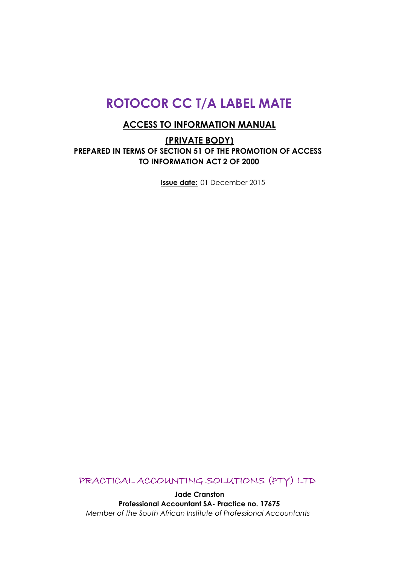# **ROTOCOR CC T/A LABEL MATE**

## **ACCESS TO INFORMATION MANUAL**

**(PRIVATE BODY) PREPARED IN TERMS OF SECTION 51 OF THE PROMOTION OF ACCESS TO INFORMATION ACT 2 OF 2000**

**Issue date:** 01 December 2015

PRACTICAL ACCOUNTING SOLUTIONS (PTY) LTD

**Jade Cranston Professional Accountant SA- Practice no. 17675** *Member of the South African Institute of Professional Accountants*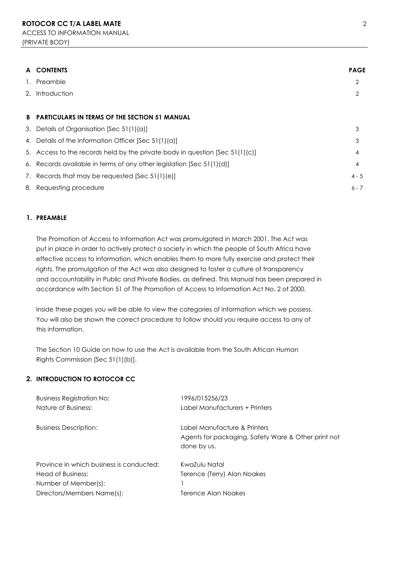| A  | <b>CONTENTS</b>                                                                | <b>PAGE</b> |
|----|--------------------------------------------------------------------------------|-------------|
| 1. | Preamble                                                                       | 2           |
| 2. | Introduction                                                                   | 2           |
|    |                                                                                |             |
| B. | <b>PARTICULARS IN TERMS OF THE SECTION 51 MANUAL</b>                           |             |
|    | 3. Details of Organisation [Sec 51(1)(a)]                                      | 3           |
|    | 4. Details of the Information Officer [Sec 51(1)(a)]                           | 3           |
|    | 5. Access to the records held by the private body in question $[Sec 51(1)(c)]$ | 4           |
|    | 6. Records available in terms of any other legislation [Sec 51(1)(d)]          | 4           |
|    | 7. Records that may be requested [Sec 51(1)(e)]                                | $4 - 5$     |
|    | 8. Requesting procedure                                                        | $6 - 7$     |

#### **1. PREAMBLE**

The Promotion of Access to Information Act was promulgated in March 2001. The Act was put in place in order to actively protect a society in which the people of South Africa have effective access to information, which enables them to more fully exercise and protect their rights. The promulgation of the Act was also designed to foster a culture of transparency and accountability in Public and Private Bodies, as defined. This Manual has been prepared in accordance with Section 51 of The Promotion of Access to Information Act No. 2 of 2000.

Inside these pages you will be able to view the categories of information which we possess. You will also be shown the correct procedure to follow should you require access to any of this information.

The Section 10 Guide on how to use the Act is available from the South African Human Rights Commission [Sec 51(1)(b)].

#### **2. INTRODUCTION TO ROTOCOR CC**

| <b>Business Registration No:</b>         | 1996/015256/23                                                                                     |
|------------------------------------------|----------------------------------------------------------------------------------------------------|
| Nature of Business:                      | Label Manufacturers + Printers                                                                     |
| <b>Business Description:</b>             | Label Manufacture & Printers<br>Agents for packaging, Safety Ware & Other print not<br>done by us. |
| Province in which business is conducted: | KwaZulu Natal                                                                                      |
| Head of Business:                        | Terence (Terry) Alan Noakes                                                                        |
| Number of Member(s):                     |                                                                                                    |
| Directors/Members Name(s):               | Terence Alan Noakes                                                                                |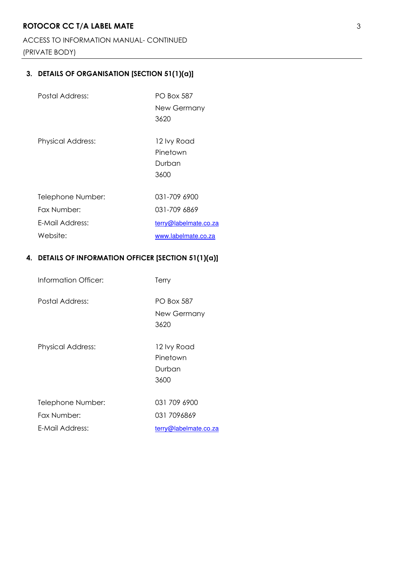# **ROTOCOR CC T/A LABEL MATE** 3

ACCESS TO INFORMATION MANUAL- CONTINUED

(PRIVATE BODY)

# **3. DETAILS OF ORGANISATION [SECTION 51(1)(a)]**

| Postal Address:          | <b>PO Box 587</b><br>New Germany<br>3620  |
|--------------------------|-------------------------------------------|
| <b>Physical Address:</b> | 12 lvy Road<br>Pinetown<br>Durban<br>3600 |
| Telephone Number:        | 031-709 6900                              |
| Fax Number:              | 031-709 6869                              |
| F-Mail Address:          | terry@labelmate.co.za                     |
| Website:                 | www.labelmate.co.za                       |

## **4. DETAILS OF INFORMATION OFFICER [SECTION 51(1)(a)]**

| Information Officer:     | Terry                                     |
|--------------------------|-------------------------------------------|
| Postal Address:          | PO Box 587<br>New Germany<br>3620         |
| <b>Physical Address:</b> | 12 lvy Road<br>Pinetown<br>Durban<br>3600 |
| Telephone Number:        | 031 709 6900                              |
| Fax Number:              | 031 7096869                               |
| F-Mail Address:          | terry@labelmate.co.za                     |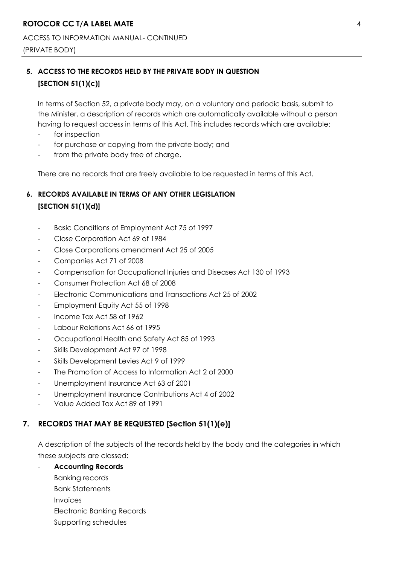ACCESS TO INFORMATION MANUAL- CONTINUED (PRIVATE BODY)

# **5. ACCESS TO THE RECORDS HELD BY THE PRIVATE BODY IN QUESTION [SECTION 51(1)(c)]**

In terms of Section 52, a private body may, on a voluntary and periodic basis, submit to the Minister, a description of records which are automatically available without a person having to request access in terms of this Act. This includes records which are available:

- for inspection
- for purchase or copying from the private body; and
- from the private body free of charge.

There are no records that are freely available to be requested in terms of this Act.

# **6. RECORDS AVAILABLE IN TERMS OF ANY OTHER LEGISLATION [SECTION 51(1)(d)]**

- Basic Conditions of Employment Act 75 of 1997
- Close Corporation Act 69 of 1984
- Close Corporations amendment Act 25 of 2005
- Companies Act 71 of 2008
- Compensation for Occupational Injuries and Diseases Act 130 of 1993
- Consumer Protection Act 68 of 2008
- Electronic Communications and Transactions Act 25 of 2002
- Employment Equity Act 55 of 1998
- Income Tax Act 58 of 1962
- Labour Relations Act 66 of 1995
- Occupational Health and Safety Act 85 of 1993
- Skills Development Act 97 of 1998
- Skills Development Levies Act 9 of 1999
- The Promotion of Access to Information Act 2 of 2000
- Unemployment Insurance Act 63 of 2001
- Unemployment Insurance Contributions Act 4 of 2002
- Value Added Tax Act 89 of 1991

### **7. RECORDS THAT MAY BE REQUESTED [Section 51(1)(e)]**

A description of the subjects of the records held by the body and the categories in which these subjects are classed:

- **Accounting Records**

Banking records Bank Statements Invoices Electronic Banking Records Supporting schedules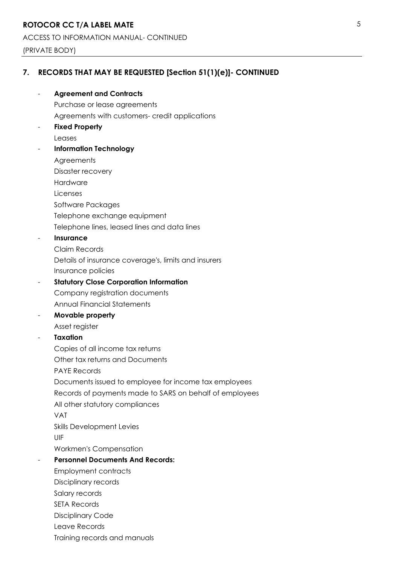### (PRIVATE BODY)

# **7. RECORDS THAT MAY BE REQUESTED [Section 51(1)(e)]- CONTINUED**

| <b>Agreement and Contracts</b>                          |
|---------------------------------------------------------|
| Purchase or lease agreements                            |
| Agreements with customers- credit applications          |
| <b>Fixed Property</b>                                   |
| Leases                                                  |
| <b>Information Technology</b>                           |
| Agreements                                              |
| Disaster recovery                                       |
| Hardware                                                |
| Licenses                                                |
| Software Packages                                       |
| Telephone exchange equipment                            |
| Telephone lines, leased lines and data lines            |
| Insurance                                               |
| Claim Records                                           |
| Details of insurance coverage's, limits and insurers    |
| Insurance policies                                      |
| <b>Statutory Close Corporation Information</b>          |
| Company registration documents                          |
| <b>Annual Financial Statements</b>                      |
| Movable property                                        |
| Asset register                                          |
| <b>Taxation</b>                                         |
| Copies of all income tax returns                        |
| Other tax returns and Documents                         |
| <b>PAYE Records</b>                                     |
| Documents issued to employee for income tax employees   |
| Records of payments made to SARS on behalf of employees |
| All other statutory compliances                         |
| <b>VAT</b>                                              |
| <b>Skills Development Levies</b>                        |
| UIF                                                     |
| <b>Workmen's Compensation</b>                           |
| <b>Personnel Documents And Records:</b>                 |
| <b>Employment contracts</b>                             |
| Disciplinary records                                    |
| Salary records                                          |
| <b>SETA Records</b>                                     |
| <b>Disciplinary Code</b>                                |
| Leave Records                                           |
| Training records and manuals                            |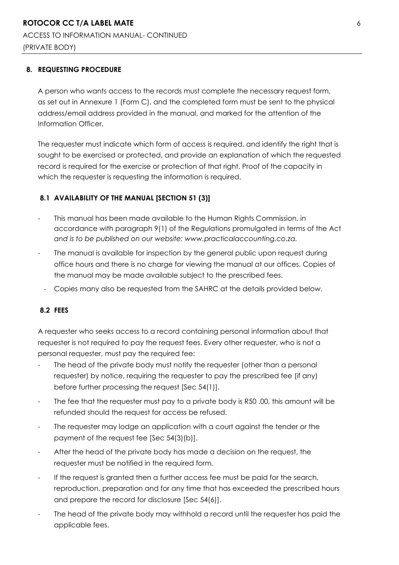### **8. REQUESTING PROCEDURE**

A person who wants access to the records must complete the necessary request form, as set out in Annexure 1 (Form C), and the completed form must be sent to the physical address/email address provided in the manual, and marked for the attention of the Information Officer.

The requester must indicate which form of access is required, and identify the right that is sought to be exercised or protected, and provide an explanation of which the requested record is required for the exercise or protection of that right. Proof of the capacity in which the requester is requesting the information is required.

### **8.1 AVAILABILITY OF THE MANUAL [SECTION 51 (3)]**

- This manual has been made available to the Human Rights Commission, in accordance with paragraph 9(1) of the Regulations promulgated in terms of the Act *and is to be published on our website: www.practicalaccounting.co.za.*
- The manual is available for inspection by the general public upon request during office hours and there is no charge for viewing the manual at our offices. Copies of the manual may be made available subject to the prescribed fees.
	- Copies many also be requested from the SAHRC at the details provided below.

### **8.2 FEES**

A requester who seeks access to a record containing personal information about that requester is not required to pay the request fees. Every other requester, who is not a personal requester, must pay the required fee:

- The head of the private body must notify the requester (other than a personal requester) by notice, requiring the requester to pay the prescribed fee (if any) before further processing the request [Sec 54(1)].
- The fee that the requester must pay to a private body is R50,00, this amount will be refunded should the request for access be refused.
- The requester may lodge an application with a court against the tender or the payment of the request fee [Sec 54(3)(b)].
- After the head of the private body has made a decision on the request, the requester must be notified in the required form.
- If the request is granted then a further access fee must be paid for the search, reproduction, preparation and for any time that has exceeded the prescribed hours and prepare the record for disclosure [Sec 54(6)].
- The head of the private body may withhold a record until the requester has paid the applicable fees.